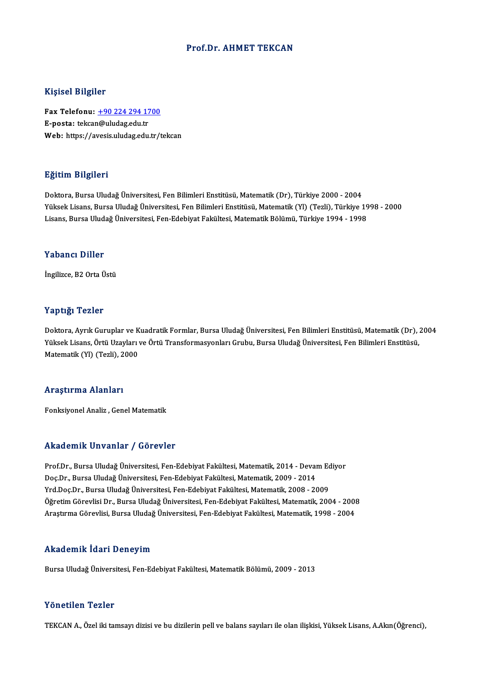#### Prof.Dr. AHMET TEKCAN

#### Kişisel Bilgiler

Kişisel Bilgiler<br>Fax Telefonu: <u>+90 224 294 1700</u><br>E nosta: teken@uludes.edu.tr miyisə: Digilər<br>Fax Telefonu: <u>+90 224 294 17</u><br>E-posta: tekca[n@uludag.edu.tr](tel:+90 224 294 1700) E-posta: tekcan@uludag.edu.tr<br>Web: https://avesis.uludag.edu.tr/tekcan

### Eğitim Bilgileri

Doktora, Bursa Uludağ Üniversitesi, Fen Bilimleri Enstitüsü, Matematik (Dr), Türkiye 2000 - 2004 25.<br>29. Doktora, Bursa Uludağ Üniversitesi, Fen Bilimleri Enstitüsü, Matematik (Dr), Türkiye 2000 - 2004<br>Yüksek Lisans, Bursa Uludağ Üniversitesi, Fen Bilimleri Enstitüsü, Matematik (Yl) (Tezli), Türkiye 1998 - 2000<br>Lisans Doktora, Bursa Uludağ Üniversitesi, Fen Bilimleri Enstitüsü, Matematik (Dr), Türkiye 2000 - 2004<br>Yüksek Lisans, Bursa Uludağ Üniversitesi, Fen Bilimleri Enstitüsü, Matematik (Yl) (Tezli), Türkiye 19<br>Lisans, Bursa Uludağ Ün Lisans, Bursa Uludağ Üniversitesi, Fen-Edebiyat Fakültesi, Matematik Bölümü, Türkiye 1994 - 1998<br>Yabancı Diller

İngilizce, B2 Orta Üstü

#### Yaptığı Tezler

**Yaptığı Tezler**<br>Doktora, Ayrık Guruplar ve Kuadratik Formlar, Bursa Uludağ Üniversitesi, Fen Bilimleri Enstitüsü, Matematik (Dr), 2004<br>Yüksek Lisans, Örtü Uzayları ve Örtü Transformasyonları Crubu, Bursa Uludağ Üniversite Yüksek Yözsek<br>Doktora, Ayrık Guruplar ve Kuadratik Formlar, Bursa Uludağ Üniversitesi, Fen Bilimleri Enstitüsü, Matematik (Dr), ;<br>Yüksek Lisans, Örtü Uzayları ve Örtü Transformasyonları Grubu, Bursa Uludağ Üniversitesi, Fe Doktora, Ayrık Guruplar ve K<br>Yüksek Lisans, Örtü Uzayları<br>Matematik (Yl) (Tezli), 2000 Matematik (Yl) (Tezli), 2000<br>Araştırma Alanları

Fonksiyonel Analiz, Genel Matematik

#### Akademik Unvanlar / Görevler

Akademik Unvanlar / Görevler<br>Prof.Dr., Bursa Uludağ Üniversitesi, Fen-Edebiyat Fakültesi, Matematik, 2014 - Devam Ediyor<br>Des Dr., Bursa Uludağ Üniversitesi, Fen-Edebiyat Fakültesi, Matematik, 2000, 2014 rrittat emrit "on vanrar" y "aor evrer"<br>Prof.Dr., Bursa Uludağ Üniversitesi, Fen-Edebiyat Fakültesi, Matematik, 2014 - Deval<br>Doç.Dr., Bursa Uludağ Üniversitesi, Fen-Edebiyat Fakültesi, Matematik, 2009 - 2014<br>Yrd Doc.Dr., B Prof.Dr., Bursa Uludağ Üniversitesi, Fen-Edebiyat Fakültesi, Matematik, 2014 - Devam Ed<br>Doç.Dr., Bursa Uludağ Üniversitesi, Fen-Edebiyat Fakültesi, Matematik, 2009 - 2014<br>Yrd.Doç.Dr., Bursa Uludağ Üniversitesi, Fen-Edebiya Doç.Dr., Bursa Uludağ Üniversitesi, Fen-Edebiyat Fakültesi, Matematik, 2009 - 2014<br>Yrd.Doç.Dr., Bursa Uludağ Üniversitesi, Fen-Edebiyat Fakültesi, Matematik, 2008 - 2009<br>Öğretim Görevlisi Dr., Bursa Uludağ Üniversitesi, Fe AraştırmaGörevlisi,BursaUludağÜniversitesi,Fen-EdebiyatFakültesi,Matematik,1998 -2004

### Akademik İdari Deneyim

Bursa Uludağ Üniversitesi, Fen-Edebiyat Fakültesi, Matematik Bölümü, 2009 - 2013

#### Yönetilen Tezler

TEKCAN A., Özel iki tamsayı dizisi ve bu dizilerin pell ve balans sayıları ile olan ilişkisi, Yüksek Lisans, A.Akın(Öğrenci),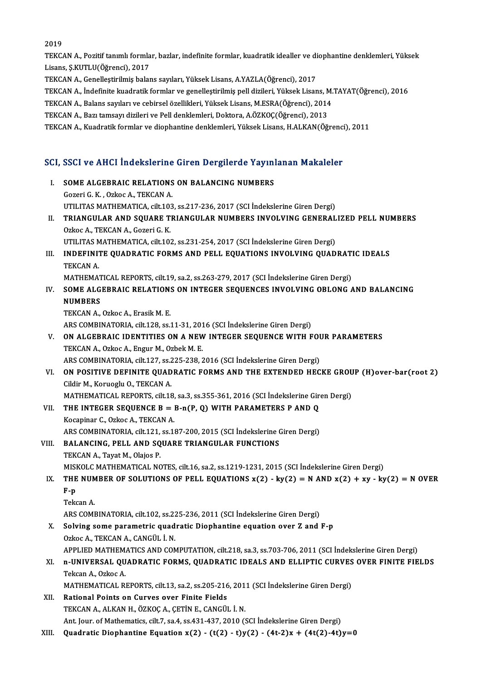2019

2019<br>TEKCAN A., Pozitif tanımlı formlar, bazlar, indefinite formlar, kuadratik idealler ve diophantine denklemleri, Yüksek<br>Lisana S.KUTU U(Öğmansi), 2017 2019<br>TEKCAN A., Pozitif tanımlı formla<br>Lisans, Ş.KUTLU(Öğrenci), 2017<br>TEKCAN A. Genellestirilmiş baler TEKCAN A., Pozitif tanımlı formlar, bazlar, indefinite formlar, kuadratik idealler ve di<br>Lisans, Ş.KUTLU(Öğrenci), 2017<br>TEKCAN A., Genelleştirilmiş balans sayıları, Yüksek Lisans, A.YAZLA(Öğrenci), 2017<br>TEKCAN A., İndefini

Lisans, Ş.KUTLU(Öğrenci), 2017<br>TEKCAN A., Genelleştirilmiş balans sayıları, Yüksek Lisans, A.YAZLA(Öğrenci), 2017<br>TEKCAN A., İndefinite kuadratik formlar ve genelleştirilmiş pell dizileri, Yüksek Lisans, M.TAYAT(Öğrenci), TEKCAN A., Genelleştirilmiş balans sayıları, Yüksek Lisans, A.YAZLA(Öğrenci), 2017<br>TEKCAN A., İndefinite kuadratik formlar ve genelleştirilmiş pell dizileri, Yüksek Lisans, M.<br>TEKCAN A., Balans sayıları ve cebirsel özellik TEKCAN A., İndefinite kuadratik formlar ve genelleştirilmiş pell dizileri, Yüksek Lisans, M.<br>TEKCAN A., Balans sayıları ve cebirsel özellikleri, Yüksek Lisans, M.ESRA(Öğrenci), 2014<br>TEKCAN A., Bazı tamsayı dizileri ve Pell

TEKCAN A., Balans sayıları ve cebirsel özellikleri, Yüksek Lisans, M.ESRA(Öğrenci), 2014<br>TEKCAN A., Bazı tamsayı dizileri ve Pell denklemleri, Doktora, A.ÖZKOÇ(Öğrenci), 2013<br>TEKCAN A., Kuadratik formlar ve diophantine den

# TEKLAN A., Kuadrauk formiar ve diophanune denkiemieri, Tüksek Lisans, H.ALKAN(Ogrenci<br>SCI, SSCI ve AHCI İndekslerine Giren Dergilerde Yayınlanan Makaleler

|       | SCI, SSCI ve AHCI İndekslerine Giren Dergilerde Yayınlanan Makaleler                                             |
|-------|------------------------------------------------------------------------------------------------------------------|
| Ι.    | SOME ALGEBRAIC RELATIONS ON BALANCING NUMBERS<br>Gozeri G. K., Ozkoc A., TEKCAN A.                               |
|       | UTILITAS MATHEMATICA, cilt.103, ss.217-236, 2017 (SCI İndekslerine Giren Dergi)                                  |
| П.    | TRIANGULAR AND SQUARE TRIANGULAR NUMBERS INVOLVING GENERALIZED PELL NUMBERS<br>Ozkoc A., TEKCAN A., Gozeri G. K. |
|       | UTILITAS MATHEMATICA, cilt.102, ss.231-254, 2017 (SCI İndekslerine Giren Dergi)                                  |
| III.  | INDEFINITE QUADRATIC FORMS AND PELL EQUATIONS INVOLVING QUADRATIC IDEALS<br>TEKCAN A.                            |
|       | MATHEMATICAL REPORTS, cilt.19, sa.2, ss.263-279, 2017 (SCI Indekslerine Giren Dergi)                             |
| IV.   | SOME ALGEBRAIC RELATIONS ON INTEGER SEQUENCES INVOLVING OBLONG AND BALANCING<br><b>NUMBERS</b>                   |
|       | TEKCAN A., Ozkoc A., Erasik M. E.                                                                                |
|       | ARS COMBINATORIA, cilt 128, ss.11-31, 2016 (SCI İndekslerine Giren Dergi)                                        |
| V.    | ON ALGEBRAIC IDENTITIES ON A NEW INTEGER SEQUENCE WITH FOUR PARAMETERS                                           |
|       | TEKCAN A., Ozkoc A., Engur M., Ozbek M. E.                                                                       |
|       | ARS COMBINATORIA, cilt.127, ss.225-238, 2016 (SCI İndekslerine Giren Dergi)                                      |
| VI.   | ON POSITIVE DEFINITE QUADRATIC FORMS AND THE EXTENDED HECKE GROUP (H) over-bar (root 2)                          |
|       | Cildir M., Koruoglu O., TEKCAN A.                                                                                |
|       | MATHEMATICAL REPORTS, cilt.18, sa.3, ss.355-361, 2016 (SCI Indekslerine Giren Dergi)                             |
| VII.  | THE INTEGER SEQUENCE $B = B-n(P, Q)$ with PARAMETERS P AND Q                                                     |
|       | Kocapinar C., Ozkoc A., TEKCAN A.                                                                                |
| VIII. | ARS COMBINATORIA, cilt.121, ss.187-200, 2015 (SCI İndekslerine Giren Dergi)                                      |
|       | BALANCING, PELL AND SQUARE TRIANGULAR FUNCTIONS<br>TEKCAN A., Tayat M., Olajos P.                                |
|       | MISKOLC MATHEMATICAL NOTES, cilt.16, sa.2, ss.1219-1231, 2015 (SCI İndekslerine Giren Dergi)                     |
| IX.   | THE NUMBER OF SOLUTIONS OF PELL EQUATIONS $x(2) - ky(2) = N$ AND $x(2) + xy - ky(2) = N$ OVER                    |
|       | $F - p$                                                                                                          |
|       | Tekcan A                                                                                                         |
|       | ARS COMBINATORIA, cilt.102, ss.225-236, 2011 (SCI İndekslerine Giren Dergi)                                      |
| Х.    | Solving some parametric quadratic Diophantine equation over Z and F-p<br>Ozkoc A., TEKCAN A., CANGÜL İ. N.       |
|       | APPLIED MATHEMATICS AND COMPUTATION, cilt.218, sa.3, ss.703-706, 2011 (SCI İndekslerine Giren Dergi)             |
| XI.   | n-UNIVERSAL QUADRATIC FORMS, QUADRATIC IDEALS AND ELLIPTIC CURVES OVER FINITE FIELDS                             |
|       | Tekcan A., Ozkoc A.                                                                                              |
|       | MATHEMATICAL REPORTS, cilt.13, sa.2, ss.205-216, 2011 (SCI Indekslerine Giren Dergi)                             |
| XII.  | Rational Points on Curves over Finite Fields                                                                     |
|       | TEKCAN A., ALKAN H., ÖZKOÇ A., ÇETİN E., CANGÜL İ. N.                                                            |
|       | Ant. Jour. of Mathematics, cilt.7, sa.4, ss.431-437, 2010 (SCI Indekslerine Giren Dergi)                         |
| XIII. | Quadratic Diophantine Equation x(2) - (t(2) - t)y(2) - (4t-2)x + (4t(2)-4t)y=0                                   |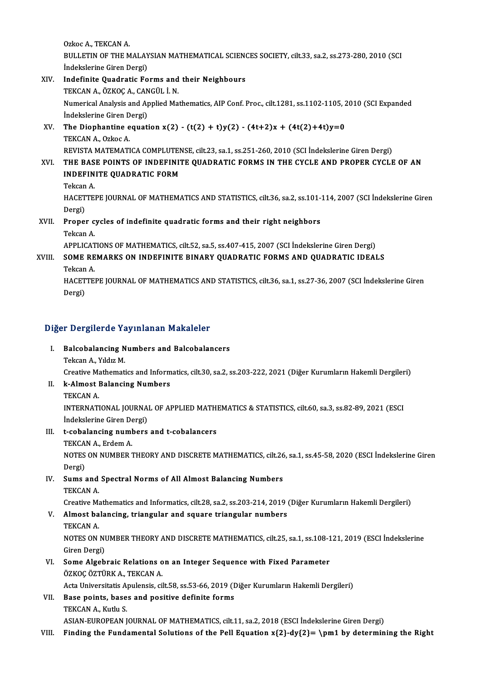Ozkoc A., TEKCAN A. Ozkoc A., TEKCAN A.<br>BULLETIN OF THE MALAYSIAN MATHEMATICAL SCIENCES SOCIETY, cilt.33, sa.2, ss.273-280, 2010 (SCI Ozkoc A., TEKCAN A.<br>BULLETIN OF THE MALAY<br>İndekslerine Giren Dergi)<br>Indefinite Queduatie Ee BULLETIN OF THE MALAYSIAN MATHEMATICAL SCIENC<br>
indekslerine Giren Dergi)<br>XIV. Indefinite Quadratic Forms and their Neighbours<br>
TEVCAN A GYVOC A CANCUL LN

### İndekslerine Giren Dergi)<br>Indefinite Quadratic Forms and<br>TEKCAN A., ÖZKOÇ A., CANGÜL İ. N.<br>Numerisəl Analysis and Annlied Ma Numerical Analysis and Applied Mathematics, AIP Conf. Proc., cilt.1281, ss.1102-1105, 2010 (SCI Expanded Indekslerine Giren Dergi) TEKCAN A., ÖZKOÇ A., CANGÜL İ. N. Numerical Analysis and Applied Mathematics, AIP Conf. Proc., cilt.1281, ss.1102-1105, 2<br>indekslerine Giren Dergi)<br>XV. The Diophantine equation x(2) - (t(2) + t)y(2) - (4t+2)x + (4t(2)+4t)y=0<br>TEVCAN A Orkes A

### **Indekslerine Giren D<br>The Diophantine e<br>TEKCAN A., Ozkoc A.<br>PEVISTA MATEMATI** The Diophantine equation x(2) - (t(2) + t)y(2) - (4t+2)x + (4t(2)+4t)y=0<br>TEKCAN A., Ozkoc A.<br>REVISTA MATEMATICA COMPLUTENSE, cilt.23, sa.1, ss.251-260, 2010 (SCI İndekslerine Giren Dergi)<br>THE RASE ROINTS OF INDEFINITE QUAD TEKCAN A., Ozkoc A.<br>REVISTA MATEMATICA COMPLUTENSE, cilt.23, sa.1, ss.251-260, 2010 (SCI İndekslerine Giren Dergi)<br>XVI. THE BASE POINTS OF INDEFINITE QUADRATIC FORMS IN THE CYCLE AND PROPER CYCLE OF AN

REVISTA MATEMATICA COMPLUTEN<br>THE BASE POINTS OF INDEFINIT<br>INDEFINITE QUADRATIC FORM<br>Teksan A THE BAS<br>INDEFIN<br>Tekcan A.<br>HACETTE INDEFINITE QUADRATIC FORM<br>Tekcan A.<br>HACETTEPE JOURNAL OF MATHEMATICS AND STATISTICS, cilt.36, sa.2, ss.101-114, 2007 (SCI İndekslerine Giren<br>Dergi)

Tekcan<br>HACET<br>Dergi)<br>Prene: HACETTEPE JOURNAL OF MATHEMATICS AND STATISTICS, cilt.36, sa.2, ss.101-<br>Dergi)<br>XVII. Proper cycles of indefinite quadratic forms and their right neighbors<br>Telsen A

## Dergi)<br>**Proper c**<br>Tekcan A.<br>APPLICAT Proper cycles of indefinite quadratic forms and their right neighbors<br>Tekcan A.<br>APPLICATIONS OF MATHEMATICS, cilt.52, sa.5, ss.407-415, 2007 (SCI İndekslerine Giren Dergi)<br>SOME REMARKS ON INDEFINITE RINARY QUADRATIC FORMS

### Tekcan A.<br>APPLICATIONS OF MATHEMATICS, cilt.52, sa.5, ss.407-415, 2007 (SCI Indekslerine Giren Dergi)<br>XVIII. SOME REMARKS ON INDEFINITE BINARY QUADRATIC FORMS AND QUADRATIC IDEALS<br>Tekcan A. APPLICAT<br>SOME RE<br>Tekcan A.<br>HACETTE

SOME REMARKS ON INDEFINITE BINARY QUADRATIC FORMS AND QUADRATIC IDEALS<br>Tekcan A.<br>HACETTEPE JOURNAL OF MATHEMATICS AND STATISTICS, cilt.36, sa.1, ss.27-36, 2007 (SCI İndekslerine Giren<br>Dergi) Tekcan<br>HACET<br>Dergi)

## Dergi)<br>Diğer Dergilerde Yayınlanan Makaleler

- Iger Dergilerde Yayınlanan Makaleler<br>I. Balcobalancing Numbers and Balcobalancers<br>Teken A. ViduaM Tekcan<br>Balcobalancing N<br>Tekcan A., Yıldız M.<br>Creative Mathemati
	-

Tekcan A., Yıldız M.<br>Creative Mathematics and Informatics, cilt.30, sa.2, ss.203-222, 2021 (Diğer Kurumların Hakemli Dergileri)

- Tekcan A., Yıldız M.<br>Creative Mathematics and Inform<br>II. k-Almost Balancing Numbers<br>TEKCAN A Creative Ma<br><mark>k-Almost</mark> l<br>TEKCAN A.<br>INTERNATI
	-

k-Almost Balancing Numbers<br>TEKCAN A.<br>INTERNATIONAL JOURNAL OF APPLIED MATHEMATICS & STATISTICS, cilt.60, sa.3, ss.82-89, 2021 (ESCI TEKCAN A.<br>INTERNATIONAL JOURNA<br>İndekslerine Giren Dergi)<br>† sebelanging numbora Indekslerine Giren Dergi)

### III. t-cobalancing numbers and t-cobalancers<br>TEKCAN A., Erdem A.

t-cobalancing numbers and t-cobalancers<br>TEKCAN A., Erdem A.<br>NOTES ON NUMBER THEORY AND DISCRETE MATHEMATICS, cilt.26, sa.1, ss.45-58, 2020 (ESCI İndekslerine Giren<br>Dergi) TEKCA<br>NOTES<br>Dergi)<br>Sums NOTES ON NUMBER THEORY AND DISCRETE MATHEMATICS, cilt.26<br>Dergi)<br>IV. Sums and Spectral Norms of All Almost Balancing Numbers<br>TEVCAN A

## Dergi)<br>IV. Sums and Spectral Norms of All Almost Balancing Numbers<br>TEKCAN A.

Creative Mathematics and Informatics, cilt.28, sa.2, ss.203-214, 2019 (Diğer Kurumların Hakemli Dergileri)

## TEKCAN A.<br>Creative Mathematics and Informatics, cilt.28, sa.2, ss.203-214, 2019 (<br>V. Almost balancing, triangular and square triangular numbers<br>TEVCAN A Creative Ma<br>**Almost ba<br>TEKCAN A.**<br>NOTES ON

Almost balancing, triangular and square triangular numbers<br>TEKCAN A.<br>NOTES ON NUMBER THEORY AND DISCRETE MATHEMATICS, cilt.25, sa.1, ss.108-121, 2019 (ESCI İndekslerine<br>Ciron Dergi) TEKCAN A.<br>NOTES ON NI<br>Giren Dergi)<br>Some Alseb NOTES ON NUMBER THEORY AND DISCRETE MATHEMATICS, cilt.25, sa.1, ss.108-1<br>Giren Dergi)<br>VI. Some Algebraic Relations on an Integer Sequence with Fixed Parameter<br>ÖZVOC ÖZTÜPK A TEVCAN A

### Giren Dergi)<br>Some Algebraic Relations o<br>ÖZKOÇ ÖZTÜRK A., TEKCAN A.<br>Asta Universitatis Anulansis, sil Some Algebraic Relations on an Integer Sequence with Fixed Parameter<br>ÖZKOÇ ÖZTÜRK A., TEKCAN A.<br>Acta Universitatis Apulensis, cilt.58, ss.53-66, 2019 (Diğer Kurumların Hakemli Dergileri)<br>Base points, bases and positive def Acta Universitatis Apulensis, cilt.58, ss.53-66, 2019 (Diğer Kurumların Hakemli Dergileri)

ÖZKOÇ ÖZTÜRK A., TEKCAN A.<br>Acta Universitatis Apulensis, cilt.58, ss.53-66, 2019 (I<br>VII. Base points, bases and positive definite forms<br>TEKCAN A., Kutlu S.

ASIAN-EUROPEAN JOURNAL OF MATHEMATICS, cilt.11, sa.2, 2018 (ESCI İndekslerine Giren Dergi)

### VIII. Finding the Fundamental Solutions of the Pell Equation  $x{2}-dy{2}=\pm 1$  by determining the Right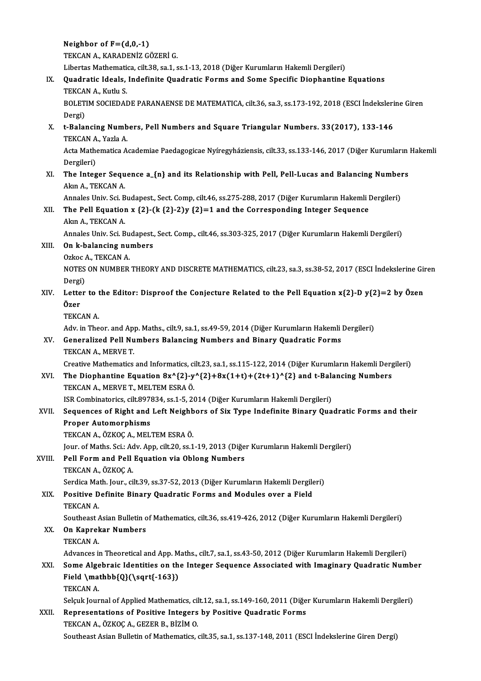Neighbor of  $F=(d,0,-1)$ TEKCAN A., KARADENİZ GÖZERİ G. Neighbor of F=(d,0,-1)<br>TEKCAN A., KARADENİZ GÖZERİ G.<br>Libertas Mathematica, cilt.38, sa.1, ss.1-13, 2018 (Diğer Kurumların Hakemli Dergileri)<br>Quadratia Ideala Indefinite Quadratia Ferme and Seme Spesifia Dienbentine IX. Quadratic Ideals, Indefinite Quadratic Forms and Some Specific Diophantine Equations<br>TEKCAN A., Kutlu S. Libertas Mathemati<br>Quadratic Ideals,<br>TEKCAN A., Kutlu S.<br>POLETIM SOCIEDAL Quadratic Ideals, Indefinite Quadratic Forms and Some Specific Diophantine Equations<br>TEKCAN A., Kutlu S.<br>BOLETIM SOCIEDADE PARANAENSE DE MATEMATICA, cilt.36, sa.3, ss.173-192, 2018 (ESCI İndekslerine Giren<br>Dergi) TEKCA<br>BOLET<br>Dergi)<br>t Palar BOLETIM SOCIEDADE PARANAENSE DE MATEMATICA, cilt.36, sa.3, ss.173-192, 2018 (ESCI İndeksleri<br>Dergi)<br>X. t-Balancing Numbers, Pell Numbers and Square Triangular Numbers. 33(2017), 133-146<br>TEKCAN A Yarla A Dergi)<br>t-Balancing Numb<br>TEKCAN A., Yazla A.<br>Acta Mathamatica A. t-Balancing Numbers, Pell Numbers and Square Triangular Numbers. 33(2017), 133-146<br>TEKCAN A., Yazla A.<br>Acta Mathematica Academiae Paedagogicae Nyíregyháziensis, cilt.33, ss.133-146, 2017 (Diğer Kurumların Hakemli<br>Dergileri TEKCAN A<br>Acta Mathe<br>Dergileri)<br>The Integ Acta Mathematica Academiae Paedagogicae Nyíregyháziensis, cilt.33, ss.133-146, 2017 (Diğer Kurumların<br>Dergileri)<br>XI. The Integer Sequence a\_{n} and its Relationship with Pell, Pell-Lucas and Balancing Numbers<br>Alm A. TEKCAN Dergileri)<br>XI. The Integer Sequence a\_{n} and its Relationship with Pell, Pell-Lucas and Balancing Numbers<br>Akın A., TEKCAN A. The Integer Sequence a\_{n} and its Relationship with Pell, Pell-Lucas and Balancing Number<br>Akın A., TEKCAN A.<br>Annales Univ. Sci. Budapest., Sect. Comp, cilt.46, ss.275-288, 2017 (Diğer Kurumların Hakemli Dergileri)<br>The Pel Akın A., TEKCAN A.<br>Annales Univ. Sci. Budapest., Sect. Comp, cilt.46, ss.275-288, 2017 (Diğer Kurumların Hakemli I<br>XII. The Pell Equation x {2}-(k {2}-2)y {2}=1 and the Corresponding Integer Sequence<br>Alpp A. TEVCAN A Annales Univ. Sci. B<br>The Pell Equation<br>Akın A., TEKCAN A.<br>Annales Univ. Sci. B The Pell Equation x {2}-(k {2}-2)y {2}=1 and the Corresponding Integer Sequence<br>Akın A., TEKCAN A.<br>Annales Univ. Sci. Budapest., Sect. Comp., cilt.46, ss.303-325, 2017 (Diğer Kurumların Hakemli Dergileri)<br>On k balanging nu Akın A., TEKCAN A.<br>Annales Univ. Sci. Budapest.<br>XIII. **On k-balancing numbers** Annales Univ. Sci. Bu<br>**On k-balancing nu:**<br>Ozkoc A., TEKCAN A.<br>NOTES ON NUMBER On k-balancing numbers<br>Ozkoc A., TEKCAN A.<br>NOTES ON NUMBER THEORY AND DISCRETE MATHEMATICS, cilt.23, sa.3, ss.38-52, 2017 (ESCI İndekslerine Giren<br>Denzi) Ozkoc<br>NOTES<br>Dergi)<br>Letter NOTES ON NUMBER THEORY AND DISCRETE MATHEMATICS, cilt.23, sa.3, ss.38-52, 2017 (ESCI Indekslerine Gir<br>Dergi)<br>XIV. Letter to the Editor: Disproof the Conjecture Related to the Pell Equation x{2}-D y{2}=2 by Özen Dergi<br>Lette<br>Özer<br><sup>TEVC</sup> Letter to 1<br>Özer<br>TEKCAN A.<br>Adv. in The Özer<br>TEKCAN A.<br>Adv. in Theor. and App. Maths., cilt.9, sa.1, ss.49-59, 2014 (Diğer Kurumların Hakemli Dergileri)<br>Conoralired Pell Numbers Balanging Numbers and Binery Quadratis Forms TEKCAN A.<br>Adv. in Theor. and App. Maths., cilt. 9, sa. 1, ss. 49-59, 2014 (Diğer Kurumların Hakemli<br>XV. Generalized Pell Numbers Balancing Numbers and Binary Quadratic Forms<br>TEKCAN A.. MERVE T. Adv. in Theor. and App<br>Generalized Pell Nu<br>TEKCAN A., MERVE T.<br>Creative Mathematics Creative Mathematics and Informatics, cilt.23, sa.1, ss.115-122, 2014 (Diğer Kurumların Hakemli Dergileri) TEKCAN A., MERVE T.<br>Creative Mathematics and Informatics, cilt.23, sa.1, ss.115-122, 2014 (Diğer Kurumların Hakemli Derg<br>XVI. The Diophantine Equation 8x^{2}-y^{2}+8x(1+t)+(2t+1)^{2} and t-Balancing Numbers<br>TEVCAN A. MERVE Creative Mathematics and Informatics, ci<br>The Diophantine Equation 8x^{2}-y<br>TEKCAN A., MERVE T., MELTEM ESRAÖ. The Diophantine Equation 8x^{2}-y^{2}+8x(1+t)+(2t+1)^{2} and t-Bala<br>TEKCAN A., MERVE T., MELTEM ESRA Ö.<br>ISR Combinatorics, cilt.897834, ss.1-5, 2014 (Diğer Kurumların Hakemli Dergileri)<br>Seguences of Bight and Left Neighbor TEKCAN A., MERVE T., MELTEM ESRA Ö.<br>ISR Combinatorics, cilt.897834, ss.1-5, 2014 (Diğer Kurumların Hakemli Dergileri)<br>XVII. Sequences of Right and Left Neighbors of Six Type Indefinite Binary Quadratic Forms and their<br> ISR Combinatorics, cilt.897834, ss.1-5, 2014 (Diğer Kurumların Hakemli Dergileri)<br>Sequences of Right and Left Neighbors of Six Type Indefinite Binary Qua<br>Proper Automorphisms<br>TEKCAN A., ÖZKOÇ A., MELTEM ESRA Ö. Sequences of Right and Left Neighb<br>Proper Automorphisms<br>TEKCAN A., ÖZKOÇ A., MELTEM ESRA Ö.<br>Jour of Mathe Sgit Adu Ann silt 20.001 Proper Automorphisms<br>TEKCAN A., ÖZKOÇ A., MELTEM ESRA Ö.<br>Jour. of Maths. Sci.: Adv. App, cilt.20, ss.1-19, 2013 (Diğer Kurumların Hakemli Dergileri)<br>Pell Ferm and Pell Fauetien via Oblang Numbars XVIII. Pell Form and Pell Equation via Oblong Numbers<br>TEKCAN A., ÖZKOÇ A. Jour. of Maths. Sci.: Ac<br>Pell Form and Pell<br>TEKCAN A., ÖZKOÇ A.<br>Serdice Math Jour...ci Pell Form and Pell Equation via Oblong Numbers<br>TEKCAN A., ÖZKOÇ A.<br>Serdica Math. Jour., cilt.39, ss.37-52, 2013 (Diğer Kurumların Hakemli Dergileri)<br>Positive Definite Binary Quadratis Forms and Madules aver a Field TEKCAN A., ÖZKOÇ A.<br>Serdica Math. Jour., cilt.39, ss.37-52, 2013 (Diğer Kurumların Hakemli Dergile<br>XIX. Positive Definite Binary Quadratic Forms and Modules over a Field<br>TEKCAN A Serdica Ma<br>Positive D<br>TEKCAN A.<br>Soutboost / Positive Definite Binary Quadratic Forms and Modules over a Field<br>TEKCAN A.<br>Southeast Asian Bulletin of Mathematics, cilt.36, ss.419-426, 2012 (Diğer Kurumların Hakemli Dergileri)<br>On Kanneker Numbers TEKCAN A.<br>Southeast Asian Bulletin o<br>XX. **On Kaprekar Numbers**<br>TEKCAN A. Southeast A<br>**On Kaprel**<br>TEKCAN A. Advances in Theoretical and App. Maths., cilt.7, sa.1, ss.43-50, 2012 (Diğer Kurumların Hakemli Dergileri) XXI. Some Algebraic Identities on the Integer Sequence Associated with Imaginary Quadratic Number Advances in Theoretical and App. M<br>Some Algebraic Identities on th<br>Field \mathbb{Q}(\sqrt{-163})<br>TEKCAN A Some Alge<br>Field \ma<br>TEKCAN A.<br>Selgyk Jour Field \mathbb{Q}(\sqrt{-163})<br>TEKCAN A.<br>Selçuk Journal of Applied Mathematics, cilt.12, sa.1, ss.149-160, 2011 (Diğer Kurumların Hakemli Dergileri)<br>Ronnecentations of Bositive Integers by Bositive Quedratis Forms TEKCAN A.<br>Selçuk Journal of Applied Mathematics, cilt.12, sa.1, ss.149-160, 2011 (Diğe<br>XXII. Representations of Positive Integers by Positive Quadratic Forms<br>TEKCAN A., ÖZKOÇ A., GEZER B., BİZİM O. Selçuk Journal of Applied Mathematics, cil<br>Representations of Positive Integers<br>TEKCAN A., ÖZKOÇ A., GEZER B., BİZİM O.<br>Soutbeest Asian Bulletin of Mathematics Southeast Asian Bulletin of Mathematics, cilt.35, sa.1, ss.137-148, 2011 (ESCI Indekslerine Giren Dergi)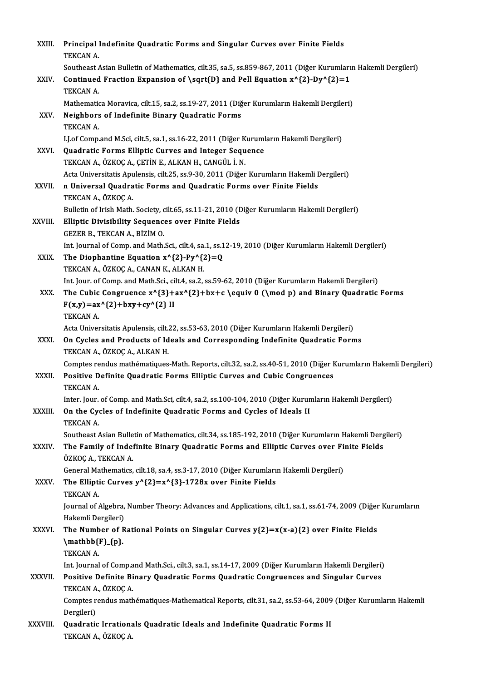| XXIII.       | Principal Indefinite Quadratic Forms and Singular Curves over Finite Fields<br>TEKCAN A.                       |
|--------------|----------------------------------------------------------------------------------------------------------------|
|              | Southeast Asian Bulletin of Mathematics, cilt.35, sa.5, ss.859-867, 2011 (Diğer Kurumların Hakemli Dergileri)  |
| XXIV.        | Continued Fraction Expansion of \sqrt{D} and Pell Equation $x^{(2)-Dy^{2}=1}$<br>TEKCAN A.                     |
|              | Mathematica Moravica, cilt.15, sa.2, ss.19-27, 2011 (Diğer Kurumların Hakemli Dergileri)                       |
| XXV.         | Neighbors of Indefinite Binary Quadratic Forms                                                                 |
|              | TEKCAN A                                                                                                       |
|              | I.J.of Comp.and M.Sci, cilt.5, sa.1, ss.16-22, 2011 (Diğer Kurumların Hakemli Dergileri)                       |
| XXVI.        | Quadratic Forms Elliptic Curves and Integer Sequence                                                           |
|              | TEKCAN A., ÖZKOÇ A., ÇETİN E., ALKAN H., CANGÜL İ. N.                                                          |
|              | Acta Universitatis Apulensis, cilt.25, ss.9-30, 2011 (Diğer Kurumların Hakemli Dergileri)                      |
| XXVII.       | n Universal Quadratic Forms and Quadratic Forms over Finite Fields<br>TEKCAN A., ÖZKOÇ A.                      |
|              | Bulletin of Irish Math. Society, cilt.65, ss.11-21, 2010 (Diğer Kurumların Hakemli Dergileri)                  |
| XXVIII.      | <b>Elliptic Divisibility Sequences over Finite Fields</b>                                                      |
|              | GEZER B., TEKCAN A., BİZİM O.                                                                                  |
|              | Int. Journal of Comp. and Math.Sci., cilt.4, sa.1, ss.12-19, 2010 (Diğer Kurumların Hakemli Dergileri)         |
| XXIX.        | The Diophantine Equation $x^{(2)-Py^{(2)}=Q$                                                                   |
|              | TEKCAN A., ÖZKOÇ A., CANAN K., ALKAN H.                                                                        |
|              | Int. Jour. of Comp. and Math.Sci., cilt.4, sa.2, ss.59-62, 2010 (Diğer Kurumların Hakemli Dergileri)           |
| XXX.         | The Cubic Congruence $x^{\{3\}+ax^{\{2\}+bx+c\q quiv\ 0(\mod p)$ and Binary Quadratic Forms                    |
|              | $F(x,y) = ax^{(2)} + bxy + cy^{(2)}$ II<br><b>TEKCAN A</b>                                                     |
|              | Acta Universitatis Apulensis, cilt.22, ss.53-63, 2010 (Diğer Kurumların Hakemli Dergileri)                     |
| XXXI.        | On Cycles and Products of Ideals and Corresponding Indefinite Quadratic Forms<br>TEKCAN A., ÖZKOÇ A., ALKAN H. |
|              | Comptes rendus mathématiques-Math. Reports, cilt.32, sa.2, ss.40-51, 2010 (Diğer Kurumların Hakemli Dergileri) |
| XXXII.       | Positive Definite Quadratic Forms Elliptic Curves and Cubic Congruences<br>TEKCAN A.                           |
|              | Inter. Jour. of Comp. and Math Sci, cilt.4, sa.2, ss.100-104, 2010 (Diğer Kurumların Hakemli Dergileri)        |
| XXXIII.      | On the Cycles of Indefinite Quadratic Forms and Cycles of Ideals II<br><b>TEKCAN A</b>                         |
|              | Southeast Asian Bulletin of Mathematics, cilt.34, ss.185-192, 2010 (Diğer Kurumların Hakemli Dergileri)        |
| XXXIV.       | The Family of Indefinite Binary Quadratic Forms and Elliptic Curves over Finite Fields                         |
|              | ÖZKOÇ A., TEKCAN A.<br>General Mathematics, cilt.18, sa.4, ss.3-17, 2010 (Diğer Kurumların Hakemli Dergileri)  |
| XXXV         | The Elliptic Curves $y^{(2)}=x^{(3)}-1728x$ over Finite Fields                                                 |
|              | TEKCAN A.                                                                                                      |
|              | Journal of Algebra, Number Theory: Advances and Applications, cilt.1, sa.1, ss.61-74, 2009 (Diğer Kurumların   |
|              | Hakemli Dergileri)                                                                                             |
| <b>XXXVI</b> | The Number of Rational Points on Singular Curves $y(2)=x(x-a)(2)$ over Finite Fields                           |
|              | $\mathbf{F}_{p}$                                                                                               |
|              | TEKCAN A.                                                                                                      |
|              | Int. Journal of Comp.and Math.Sci., cilt.3, sa.1, ss.14-17, 2009 (Diğer Kurumların Hakemli Dergileri)          |
| XXXVII.      | Positive Definite Binary Quadratic Forms Quadratic Congruences and Singular Curves<br>TEKCAN A, ÖZKOÇ A        |
|              | Comptes rendus mathématiques-Mathematical Reports, cilt.31, sa.2, ss.53-64, 2009 (Diğer Kurumların Hakemli     |
|              | Dergileri)                                                                                                     |
| XXXVIII.     | Quadratic Irrationals Quadratic Ideals and Indefinite Quadratic Forms II<br>TEKCAN A., ÖZKOÇ A.                |
|              |                                                                                                                |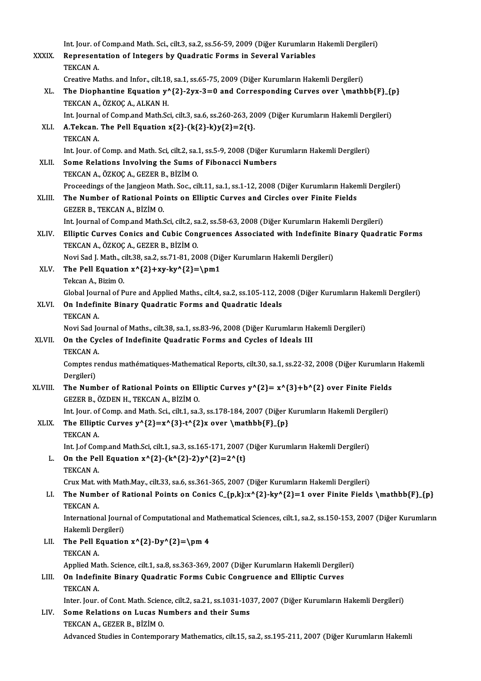|              | Int. Jour. of Comp.and Math. Sci., cilt.3, sa.2, ss.56-59, 2009 (Diğer Kurumların Hakemli Dergileri)                                         |
|--------------|----------------------------------------------------------------------------------------------------------------------------------------------|
| <b>XXXIX</b> | Representation of Integers by Quadratic Forms in Several Variables<br>TEKCAN A                                                               |
|              | Creative Maths. and Infor., cilt.18, sa.1, ss.65-75, 2009 (Diğer Kurumların Hakemli Dergileri)                                               |
| XL.          | The Diophantine Equation $y^{2}-2yx-3=0$ and Corresponding Curves over $\mathbf{F}_{p}$<br>TEKCAN A., ÖZKOÇ A., ALKAN H.                     |
|              | Int. Journal of Comp.and Math.Sci, cilt.3, sa.6, ss.260-263, 2009 (Diğer Kurumların Hakemli Dergileri)                                       |
| XLI.         | A Tekcan. The Pell Equation $x{2}-(k{2}-k)y{2}=2{t}$ .<br><b>TEKCAN A</b>                                                                    |
|              | Int. Jour. of Comp. and Math. Sci, cilt.2, sa.1, ss.5-9, 2008 (Diğer Kurumların Hakemli Dergileri)                                           |
| XLII.        | Some Relations Involving the Sums of Fibonacci Numbers<br>TEKCAN A., ÖZKOÇ A., GEZER B., BİZİM O.                                            |
|              | Proceedings of the Jangjeon Math. Soc., cilt.11, sa.1, ss.1-12, 2008 (Diğer Kurumların Hakemli Dergileri)                                    |
| XLIII.       | The Number of Rational Points on Elliptic Curves and Circles over Finite Fields<br>GEZER B., TEKCAN A., BİZİM O.                             |
|              | Int. Journal of Comp.and Math.Sci, cilt.2, sa.2, ss.58-63, 2008 (Diğer Kurumların Hakemli Dergileri)                                         |
| XLIV.        | Elliptic Curves Conics and Cubic Congruences Associated with Indefinite Binary Quadratic Forms<br>TEKCAN A., ÖZKOÇ A., GEZER B., BİZİM O.    |
|              | Novi Sad J. Math., cilt.38, sa.2, ss.71-81, 2008 (Diğer Kurumların Hakemli Dergileri)                                                        |
| XLV.         | The Pell Equation $x^{2}+xy-ky^{2}=\pm 1$                                                                                                    |
|              | Tekcan A, Bizim O.                                                                                                                           |
|              | Global Journal of Pure and Applied Maths., cilt4, sa.2, ss.105-112, 2008 (Diğer Kurumların Hakemli Dergileri)                                |
| XLVI.        | On Indefinite Binary Quadratic Forms and Quadratic Ideals<br><b>TEKCAN A</b>                                                                 |
|              | Novi Sad Journal of Maths., cilt.38, sa.1, ss.83-96, 2008 (Diğer Kurumların Hakemli Dergileri)                                               |
| <b>XLVII</b> | On the Cycles of Indefinite Quadratic Forms and Cycles of Ideals III<br><b>TEKCAN A</b>                                                      |
|              | Comptes rendus mathématiques-Mathematical Reports, cilt.30, sa.1, ss.22-32, 2008 (Diğer Kurumların Hakemli<br>Dergileri)                     |
| XLVIII.      | The Number of Rational Points on Elliptic Curves $y^{(2)} = x^{(3)} + b^{(2)}$ over Finite Fields<br>GEZER B., ÖZDEN H., TEKCAN A., BİZİM O. |
|              | Int. Jour. of Comp. and Math. Sci., cilt.1, sa.3, ss.178-184, 2007 (Diğer Kurumların Hakemli Dergileri)                                      |
| XLIX.        | The Elliptic Curves $y^{(2)}=x^{(3)}-t^{(2)}x$ over $\mathcal{mathbb}\{F}_{p}\$<br>TEKCAN A.                                                 |
|              | Int. J.of Comp.and Math.Sci, cilt.1, sa.3, ss.165-171, 2007 (Diğer Kurumların Hakemli Dergileri)                                             |
| L.           | On the Pell Equation $x^{(2)-(k^{(2)-2)y^{(2)}=2^{(t)}}$                                                                                     |
|              | TEKCAN A.                                                                                                                                    |
|              | Crux Mat. with Math.May., cilt.33, sa.6, ss.361-365, 2007 (Diğer Kurumların Hakemli Dergileri)                                               |
| LI.          | The Number of Rational Points on Conics C_{p,k}:x^{2}-ky^{2}=1 over Finite Fields \mathbb{F}_{p}}<br><b>TEKCAN A</b>                         |
|              | International Journal of Computational and Mathematical Sciences, cilt.1, sa.2, ss.150-153, 2007 (Diğer Kurumların                           |
|              | Hakemli Dergileri)                                                                                                                           |
| LII.         | The Pell Equation $x^{(2)}$ -Dy <sup><math>(2)</math></sup> =\pm 4                                                                           |
|              | TEKCAN A.                                                                                                                                    |
|              | Applied Math. Science, cilt.1, sa.8, ss.363-369, 2007 (Diğer Kurumların Hakemli Dergileri)                                                   |
| LIII.        | On Indefinite Binary Quadratic Forms Cubic Congruence and Elliptic Curves<br>TEKCAN A.                                                       |
|              | Inter. Jour. of Cont. Math. Science, cilt.2, sa.21, ss.1031-1037, 2007 (Diğer Kurumların Hakemli Dergileri)                                  |
| LIV.         | Some Relations on Lucas Numbers and their Sums                                                                                               |
|              | TEKCAN A., GEZER B., BİZİM O.                                                                                                                |
|              | Advanced Studies in Contemporary Mathematics, cilt.15, sa.2, ss.195-211, 2007 (Diğer Kurumların Hakemli                                      |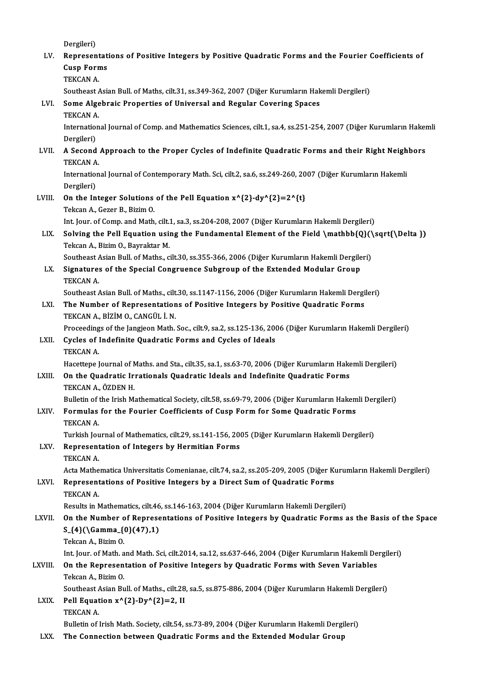|              | Dergileri)                                                                                                                           |
|--------------|--------------------------------------------------------------------------------------------------------------------------------------|
| LV.          | Representations of Positive Integers by Positive Quadratic Forms and the Fourier Coefficients of                                     |
|              | <b>Cusp Forms</b>                                                                                                                    |
|              | TEKCAN A.                                                                                                                            |
|              | Southeast Asian Bull. of Maths, cilt.31, ss.349-362, 2007 (Diğer Kurumların Hakemli Dergileri)                                       |
| LVI.         | Some Algebraic Properties of Universal and Regular Covering Spaces                                                                   |
|              | TEKCAN A.                                                                                                                            |
|              | International Journal of Comp. and Mathematics Sciences, cilt.1, sa.4, ss.251-254, 2007 (Diğer Kurumların Hakemli<br>Dergileri)      |
| LVII.        | A Second Approach to the Proper Cycles of Indefinite Quadratic Forms and their Right Neighbors                                       |
|              | <b>TEKCAN A</b>                                                                                                                      |
|              | International Journal of Contemporary Math. Sci, cilt.2, sa.6, ss.249-260, 2007 (Diğer Kurumların Hakemli                            |
|              | Dergileri)                                                                                                                           |
| LVIII.       | On the Integer Solutions of the Pell Equation $x^{(2)-dy^{(2)}=2^{(t)}}$                                                             |
|              | Tekcan A., Gezer B., Bizim O.                                                                                                        |
|              | Int. Jour. of Comp. and Math, cilt.1, sa.3, ss.204-208, 2007 (Diğer Kurumların Hakemli Dergileri)                                    |
| LIX.         | Solving the Pell Equation using the Fundamental Element of the Field \mathbb{Q}(\sqrt{\Delta })<br>Tekcan A., Bizim O., Bayraktar M. |
|              | Southeast Asian Bull. of Maths., cilt.30, ss.355-366, 2006 (Diğer Kurumların Hakemli Dergileri)                                      |
| LX.          | Signatures of the Special Congruence Subgroup of the Extended Modular Group                                                          |
|              | TEKCAN A.                                                                                                                            |
|              | Southeast Asian Bull. of Maths., cilt.30, ss.1147-1156, 2006 (Diğer Kurumların Hakemli Dergileri)                                    |
| LXI.         | The Number of Representations of Positive Integers by Positive Quadratic Forms                                                       |
|              | TEKCAN A., BİZİM O., CANGÜL İ. N.                                                                                                    |
|              | Proceedings of the Jangjeon Math. Soc., cilt.9, sa.2, ss.125-136, 2006 (Diğer Kurumların Hakemli Dergileri)                          |
| LXII.        | Cycles of Indefinite Quadratic Forms and Cycles of Ideals<br><b>TEKCAN A</b>                                                         |
|              | Hacettepe Journal of Maths. and Sta., cilt.35, sa.1, ss.63-70, 2006 (Diğer Kurumların Hakemli Dergileri)                             |
| LXIII.       | On the Quadratic Irrationals Quadratic Ideals and Indefinite Quadratic Forms                                                         |
|              | TEKCAN A., ÖZDEN H.                                                                                                                  |
|              | Bulletin of the Irish Mathematical Society, cilt.58, ss.69-79, 2006 (Diğer Kurumların Hakemli Dergileri)                             |
| LXIV.        | Formulas for the Fourier Coefficients of Cusp Form for Some Quadratic Forms                                                          |
|              | TEKCAN A.                                                                                                                            |
|              | Turkish Journal of Mathematics, cilt.29, ss.141-156, 2005 (Diğer Kurumların Hakemli Dergileri)                                       |
| LXV.         | Representation of Integers by Hermitian Forms                                                                                        |
|              | TEKCAN A.<br>Acta Mathematica Universitatis Comenianae, cilt.74, sa.2, ss.205-209, 2005 (Diğer Kurumların Hakemli Dergileri)         |
| LXVI.        | Representations of Positive Integers by a Direct Sum of Quadratic Forms                                                              |
|              | TEKCAN A.                                                                                                                            |
|              | Results in Mathematics, cilt.46, ss.146-163, 2004 (Diğer Kurumların Hakemli Dergileri)                                               |
| <b>LXVII</b> | On the Number of Representations of Positive Integers by Quadratic Forms as the Basis of the Space                                   |
|              | $S_{4}(\Gamma_{0}(47),1)$                                                                                                            |
|              | Tekcan A, Bizim O.                                                                                                                   |
|              | Int. Jour. of Math. and Math. Sci, cilt.2014, sa.12, ss.637-646, 2004 (Diğer Kurumların Hakemli Dergileri)                           |
| LXVIII.      | On the Representation of Positive Integers by Quadratic Forms with Seven Variables                                                   |
|              | Tekcan A, Bizim O<br>Southeast Asian Bull. of Maths., cilt.28, sa.5, ss.875-886, 2004 (Diğer Kurumların Hakemli Dergileri)           |
| LXIX.        | Pell Equation $x^{\wedge}{2}$ -Dy $^{\wedge}{2}$ =2, II                                                                              |
|              | TEKCAN A.                                                                                                                            |
|              | Bulletin of Irish Math. Society, cilt.54, ss.73-89, 2004 (Diğer Kurumların Hakemli Dergileri)                                        |
| LXX.         | The Connection between Quadratic Forms and the Extended Modular Group                                                                |
|              |                                                                                                                                      |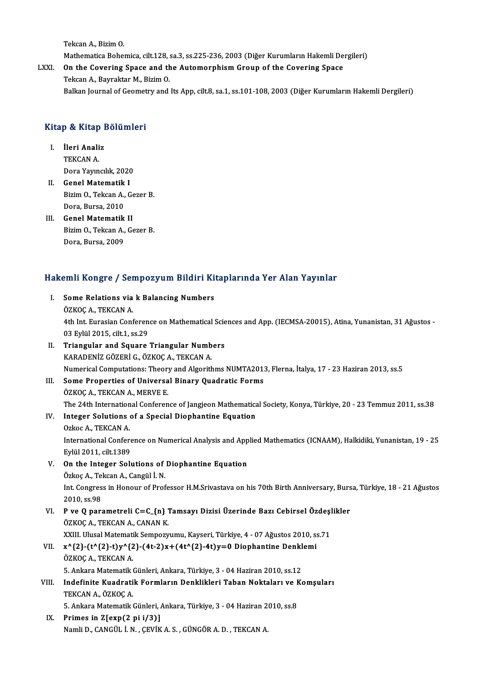TekcanA.,BizimO.

Tekcan A., Bizim O.<br>Mathematica Bohemica, cilt.128, sa.3, ss.225-236, 2003 (Diğer Kurumların Hakemli Dergileri)<br>On the Govening Space and the Automorphiam Group of the Govening Space

Tekcan A., Bizim O.<br>Mathematica Bohemica, cilt.128, sa.3, ss.225-236, 2003 (Diğer Kurumların Hakemli De<br>LXXI. On the Covering Space and the Automorphism Group of the Covering Space<br>Tekson A. Bayraktar M. Bizim O. On the Covering Space and the Automorphism Group of the Covering Space<br>Tekcan A., Bayraktar M., Bizim O. Balkan Journal of Geometry and Its App, cilt.8, sa.1, ss.101-108, 2003 (Diğer Kurumların Hakemli Dergileri)

# вакан journal of Geomet<br>Kitap & Kitap Bölümleri

- **I. İleri Analiz**<br>I. İleri Analiz<br>TEVCAN A I. **İleri Analiz**<br>TEKCAN A. DoraYayıncılık,2020 TEKCAN A.<br>Dora Yayıncılık, 2020<br>II. Genel Matematik I
- Bizim O., Tekcan A., Gezer B.<br>Dora, Bursa, 2010 Genel Matematik<br>Bizim O., Tekcan A.,<br>Dora, Bursa, 2010<br>Conel Matematik
- III. Genel Matematik II Dora, Bursa, 2010<br>Genel Matematik II<br>Bizim O., Tekcan A., Gezer B.<br>Dora Bursa 2000 Genel Matematik<br>Bizim O., Tekcan A.,<br>Dora, Bursa, 2009

# bora, bursa, 2009<br>Hakemli Kongre / Sempozyum Bildiri Kitaplarında Yer Alan Yayınlar

akemli Kongre / Sempozyum Bildiri Ki<br>I. Some Relations via k Balancing Numbers<br>ÖZKOC A TEKCAN A I. Some Relations via k Balancing Numbers<br>ÖZKOÇ A., TEKCAN A. Some Relations via k Balancing Numbers<br>ÖZKOÇ A., TEKCAN A.<br>4th Int. Eurasian Conference on Mathematical Sciences and App. (IECMSA-20015), Atina, Yunanistan, 31 Ağustos -<br>02 Erlül 2015, cilt 1, ss 29 ÖZKOÇ A., TEKCAN A.<br>4th Int. Eurasian Conferen<br>03 Eylül 2015, cilt.1, ss.29<br>Triangular and Square 03 Eylül 2015, cilt.1, ss.29<br>II. Triangular and Square Triangular Numbers KARADENİZGÖZERİG.,ÖZKOÇA.,TEKCANA. Numerical Computations: Theory and Algorithms NUMTA2013, Flerna, İtalya, 17 - 23 Haziran 2013, ss.5 III. Some Properties of Universal Binary Quadratic Forms ÖZKOÇ A., TEKCAN A., MERVE E. Some Properties of Universal Binary Quadratic Forms<br>ÖZKOÇ A., TEKCAN A., MERVE E.<br>The 24th International Conference of Jangjeon Mathematical Society, Konya, Türkiye, 20 - 23 Temmuz 2011, ss.38<br>Integen Solutione of a Specia IV. Integer Solutions of a Special Diophantine Equation The 24th Internation<br>Integer Solutions<br>Ozkoc A., TEKCAN A.<br>International Corfor International Conference on Numerical Analysis and Applied Mathematics (ICNAAM), Halkidiki, Yunanistan, 19 - 25<br>Eylül 2011, cilt.1389 Ozkoc A., TEKCAN A. International Conference on Numerical Analysis and App<br>Eylül 2011, cilt.1389<br>V. On the Integer Solutions of Diophantine Equation<br>Crise A. Telsen A. Cangül i. N. Eylül 2011, cilt.1389<br>On the Integer Solutions of<br>Özkoç A., Tekcan A., Cangül İ. N.<br>Int Congress in Honour of Prof Int. Congress in Honour of Professor H.M.Srivastava on his 70th Birth Anniversary, Bursa, Türkiye, 18 - 21 Ağustos<br>2010, ss.98 Özkoç A., Tekcan A., Cangül İ. N. Int. Congress in Honour of Professor H.M.Srivastava on his 70th Birth Anniversary, Burs<br>2010, ss.98<br>VI. P ve Q parametreli C=C\_{n} Tamsayı Dizisi Üzerinde Bazı Cebirsel Özdeşlikler<br>ÖZVOC A TEVCAN A CANAN V 2010, ss.98<br>**P ve Q parametreli C=C\_{n} 1**<br>ÖZKOÇ A., TEKCAN A., CANAN K.<br>YYUL Ulucal Matamatik Samparu P ve Q parametreli C=C\_{n} Tamsayı Dizisi Üzerinde Bazı Cebirsel Özdeşl<br>ÖZKOÇ A., TEKCAN A., CANAN K.<br>XXIII. Ulusal Matematik Sempozyumu, Kayseri, Türkiye, 4 - 07 Ağustos 2010, ss.71<br>x^{3}\_(t^{3}\_t\x^{3}\_(4t\_3)x | (4t^{3}\_ ÖZKOÇ A., TEKCAN A., CANAN K.<br>XXIII. Ulusal Matematik Sempozyumu, Kayseri, Türkiye, 4 - 07 Ağustos 2010, s:<br>VII. x^{2}-(t^{2}-t)y^{2}-(4t-2)x+(4t^{2}-4t)y=0 Diophantine Denklemi<br>ÖZKOC A. TEKCAN A XXIII. Ulusal Matemati<br>x^{2}-(t^{2}-t)y^{2<br>ÖZKOÇ A., TEKCAN A.<br>5. Ankana Matematik ( x^{2}-(t^{2}-t)y^{2}-(4t-2)x+(4t^{2}-4t)y=0 Diophantine Denkl<br>ÖZKOÇ A., TEKCAN A.<br>5. Ankara Matematik Günleri, Ankara, Türkiye, 3 - 04 Haziran 2010, ss.12<br>Indefinite Kuadratik Fermlerun Denklikleri Tehen Nekteleru ve K ÖZKOÇ A., TEKCAN A.<br>5. Ankara Matematik Günleri, Ankara, Türkiye, 3 - 04 Haziran 2010, ss.12<br>VIII. Indefinite Kuadratik Formların Denklikleri Taban Noktaları ve Komşuları<br>TEKCAN A., ÖZKOC A. 5. Ankara Matematik<br>Indefinite Kuadrati<br>TEKCAN A., ÖZKOÇ A.<br>E. Ankana Matematik Indefinite Kuadratik Formların Denklikleri Taban Noktaları ve F<br>TEKCAN A., ÖZKOÇ A.<br>5. Ankara Matematik Günleri, Ankara, Türkiye, 3 - 04 Haziran 2010, ss.8<br>Primes in 7[evn(? ni i/?)] IX. Primes in Z[exp(2 pi i/3)]<br>Namli D., CANGÜL İ. N., ÇEVİK A. S., GÜNGÖR A. D., TEKCAN A. 5. Ankara Matematik Günleri, Ankara, Türkiye, 3 - 04 Haziran 2<br><mark>Primes in Z[exp(2 pi i/3)]</mark><br>Namli D., CANGÜL İ. N. , ÇEVİK A. S. , GÜNGÖR A. D. , TEKCAN A.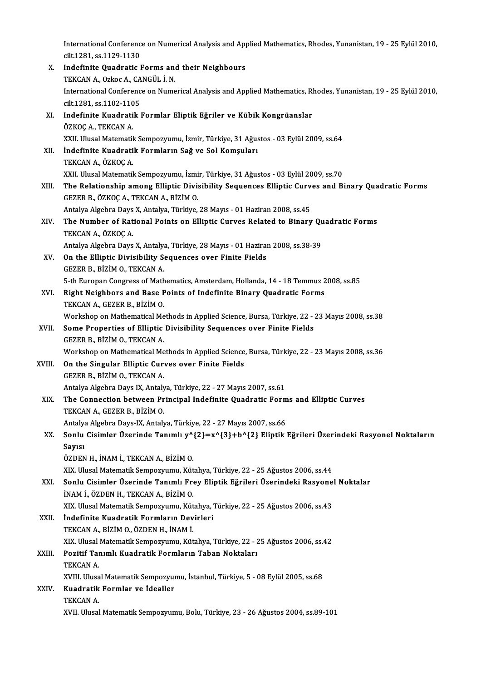International Conference on Numerical Analysis and Applied Mathematics, Rhodes, Yunanistan, 19 - 25 Eylül 2010,<br>Gilt 1281, 99 1130, 1130 International Conferenc<br>cilt.1281, ss.1129-1130<br>Indefinite Quedratie l International Conference on Numerical Analysis and App<br>cilt.1281, ss.1129-1130<br>X. Indefinite Quadratic Forms and their Neighbours<br>TEVCAN A Orkes A GANGÜL LN

cilt.1281, ss.1129-1130<br>Indefinite Quadratic Forms an<br>TEKCAN A., Ozkoc A., CANGÜL İ. N.<br>International Cenference en Nume X. Indefinite Quadratic Forms and their Neighbours<br>TEKCAN A., Ozkoc A., CANGÜL İ. N.<br>International Conference on Numerical Analysis and Applied Mathematics, Rhodes, Yunanistan, 19 - 25 Eylül 2010,<br>cilt.1281, ss.1102-1105 TEKCAN A., Ozkoc A., CA<br>International Conferenc<br>cilt.1281, ss.1102-1105<br>Indofinite Kuadratik International Conference on Numerical Analysis and Applied Mathematics, R<br>cilt.1281, ss.1102-1105<br>XI. Indefinite Kuadratik Formlar Eliptik Eğriler ve Kübik Kongrüanslar<br>ÖZKOC A. TEKCAN A cilt.1281, ss.1102-110<br>Indefinite Kuadrati<br>ÖZKOÇ A., TEKCAN A.<br>YYU Ulusal Matamatil Indefinite Kuadratik Formlar Eliptik Eğriler ve Kübik Kongrüanslar<br>ÖZKOÇ A., TEKCAN A.<br>XXII. Ulusal Matematik Sempozyumu, İzmir, Türkiye, 31 Ağustos - 03 Eylül 2009, ss.64<br>İndefinite Kuadratik Formların Sağ ve Sel Komsular ÖZKOÇ A., TEKCAN A.<br>XXII. Ulusal Matematik Sempozyumu, İzmir, Türkiye, 31 Ağus<br>XII. İndefinite Kuadratik Formların Sağ ve Sol Komşuları<br>TEKCAN A., ÖZKOÇ A. XXII. Ulusal Matematik<br>İndefinite Kuadrati<br>TEKCAN A., ÖZKOÇ A.<br>YYU. Ulusal Matematik XXII. Ulusal Matematik Sempozyumu, İzmir, Türkiye, 31 Ağustos - 03 Eylül 2009, ss.70 XIII. The Relationship among Elliptic Divisibility Sequences Elliptic Curves and Binary Quadratic Forms GEZERB.,ÖZKOÇA.,TEKCANA.,BİZİMO. The Relationship among Elliptic Divisibility Sequences Elliptic Curv<br>GEZER B., ÖZKOÇ A., TEKCAN A., BİZİM O.<br>Antalya Algebra Days X, Antalya, Türkiye, 28 Mayıs - 01 Haziran 2008, ss.45<br>The Number of Bational Beints en Elli GEZER B., ÖZKOÇ A., TEKCAN A., BİZİM O.<br>Antalya Algebra Days X, Antalya, Türkiye, 28 Mayıs - 01 Haziran 2008, ss.45<br>XIV. The Number of Rational Points on Elliptic Curves Related to Binary Quadratic Forms<br>TEKCAN A. ÖZKO Antalya Algebra Days<br>**The Number of Rat**<br>TEKCAN A., ÖZKOÇ A.<br>Antalya Algebra Days The Number of Rational Points on Elliptic Curves Related to Binary Qu<br>TEKCAN A., ÖZKOÇ A.<br>Antalya Algebra Days X, Antalya, Türkiye, 28 Mayıs - 01 Haziran 2008, ss.38-39<br>On the Ellintic Divisibility Seguences even Einite Ei TEKCAN A., ÖZKOÇ A.<br>Antalya Algebra Days X, Antalya, Türkiye, 28 Mayıs - 01 Hazira<br>XV. On the Elliptic Divisibility Sequences over Finite Fields<br>CEZER R. RİZIM O. TEKÇAN A. Antalya Algebra Days X, Antalya<br>**On the Elliptic Divisibility S**<br>GEZER B., BİZİM O., TEKCAN A. On the Elliptic Divisibility Sequences over Finite Fields<br>GEZER B., BİZİM O., TEKCAN A.<br>5-th Europan Congress of Mathematics, Amsterdam, Hollanda, 14 - 18 Temmuz 2008, ss.85<br>Bight Noighbors and Base Boints of Indefinite Bi GEZER B., BIZIM O., TEKCAN A.<br>5-th Europan Congress of Mathematics, Amsterdam, Hollanda, 14 - 18 Temmuz 2<br>XVI. Right Neighbors and Base Points of Indefinite Binary Quadratic Forms<br>TEKCAN A., GEZER B., BIZIM O. 5-th Europan Congress of Math<br>Right Neighbors and Base F<br>TEKCAN A., GEZER B., BİZİM O.<br>Warkaban an Mathamatical Ma Right Neighbors and Base Points of Indefinite Binary Quadratic Forms<br>TEKCAN A., GEZER B., BİZİM O.<br>Workshop on Mathematical Methods in Applied Science, Bursa, Türkiye, 22 - 23 Mayıs 2008, ss.38<br>Some Proporties of Ellintic XVII. Some Properties of Elliptic Divisibility Sequences over Finite Fields<br>GEZER B., BİZİM O., TEKCAN A. Workshop on Mathematical Me<br>Some Properties of Elliptic<br>GEZER B., BİZİM O., TEKCAN A.<br>Workshop on Mathematical Me Workshop on Mathematical Methods in Applied Science, Bursa, Türkiye, 22 - 23 Mayıs 2008, ss.36 XVIII. On the Singular Elliptic Curves over Finite Fields GEZERB.,BİZİMO.,TEKCANA. On the Singular Elliptic Curves over Finite Fields<br>GEZER B., BİZİM O., TEKCAN A.<br>Antalya Algebra Days IX, Antalya, Türkiye, 22 - 27 Mayıs 2007, ss.61<br>The Connection between Bringinal Indefinite Quedratis Ferr XIX. The Connection between Principal Indefinite Quadratic Forms and Elliptic Curves<br>TEKCAN A., GEZER B., BİZİM O. Antalya Algebra Days IX, Antaly<br>The Connection between Pr<br>TEKCAN A., GEZER B., BİZİM O.<br>Antalya Algebra Days IX. Antaly The Connection between Principal Indefinite Quadratic Form<br>TEKCAN A., GEZER B., BİZİM O.<br>Antalya Algebra Days-IX, Antalya, Türkiye, 22 - 27 Mayıs 2007, ss.66<br>Senlu Gisimler Üzerinde Tanımlı vê (3) – vê (3) + bê (3) Elintik TEKCAN A., GEZER B., BİZİM O.<br>Antalya Algebra Days-IX, Antalya, Türkiye, 22 - 27 Mayıs 2007, ss.66<br>XX. Sonlu Cisimler Üzerinde Tanımlı y^{2}=x^{3}+b^{2} Eliptik Eğrileri Üzerindeki Rasyonel Noktaların<br>Sonlu Antalya<br>Sonlu<br>Sayısı<br>Özpen Sonlu Cisimler Üzerinde Tanımlı y^<br>Sayısı<br>ÖZDEN H., İNAM İ., TEKCAN A., BİZİM O.<br>YIY Hlugel Metemetik Semnerrumu, Küt Sayısı<br>ÖZDEN H., İNAM İ., TEKCAN A., BİZİM O.<br>XIX. Ulusal Matematik Sempozyumu, Kütahya, Türkiye, 22 - 25 Ağustos 2006, ss.44 ÖZDEN H., İNAM İ., TEKCAN A., BİZİM O.<br>XIX. Ulusal Matematik Sempozyumu, Kütahya, Türkiye, 22 - 25 Ağustos 2006, ss.44<br>XXI. Sonlu Cisimler Üzerinde Tanımlı Frey Eliptik Eğrileri Üzerindeki Rasyonel Noktalar<br>İNAM İ. ÖZDEN U İNAM İ., ÖZDEN H., TEKCAN A., BİZİM O.<br>XIX. Ulusal Matematik Sempozyumu, Kütahya, Türkiye, 22 - 25 Ağustos 2006, ss.43 Sonlu Cisimler Üzerinde Tanımlı Frey Eliptik Eğrileri Üzerindeki Rasyone<br>İNAM İ., ÖZDEN H., TEKCAN A., BİZİM O.<br>XIX. Ulusal Matematik Sempozyumu, Kütahya, Türkiye, 22 - 25 Ağustos 2006, ss.43<br>İndefinite Kuadratik Fermlerın INAM İ., ÖZDEN H., TEKCAN A., BİZİM O.<br>XIX. Ulusal Matematik Sempozyumu, Kütahya,<br>XXII. İndefinite Kuadratik Formların Devirleri XIX. Ulusal Matematik Sempozyumu, Küt<br>İndefinite Kuadratik Formların Dev<br>TEKCAN A., BİZİM O., ÖZDEN H., İNAM İ.<br>YIY. Hlusal Matematik Sempozyumu, Küt İndefinite Kuadratik Formların Devirleri<br>TEKCAN A., BİZİM O., ÖZDEN H., İNAM İ.<br>XIX. Ulusal Matematik Sempozyumu, Kütahya, Türkiye, 22 - 25 Ağustos 2006, ss.42<br>Pozitif Tanımlı Kuadratik Formların Taban Noktaları. TEKCAN A., BİZİM O., ÖZDEN H., İNAM İ.<br>XIX. Ulusal Matematik Sempozyumu, Kütahya, Türkiye, 22 - 2<br>XXIII. Pozitif Tanımlı Kuadratik Formların Taban Noktaları<br>TEKCAN A. XIX. Ulusal<br>Pozitif Tai<br>TEKCAN A.<br>YVIII. Ulusa XVIII. Ulusal Matematik Sempozyumu, İstanbul, Türkiye, 5 - 08 Eylül 2005, ss.68 TEKCAN A.<br>XVIII. Ulusal Matematik Sempozyur<br>XXIV. Kuadratik Formlar ve İdealler<br>TEKCAN A XVIII. Ulusa<br><mark>Kuadratik</mark><br>TEKCAN A.<br>XVII. Ulusal TEKCAN A.<br>XVII. Ulusal Matematik Sempozyumu, Bolu, Türkiye, 23 - 26 Ağustos 2004, ss.89-101